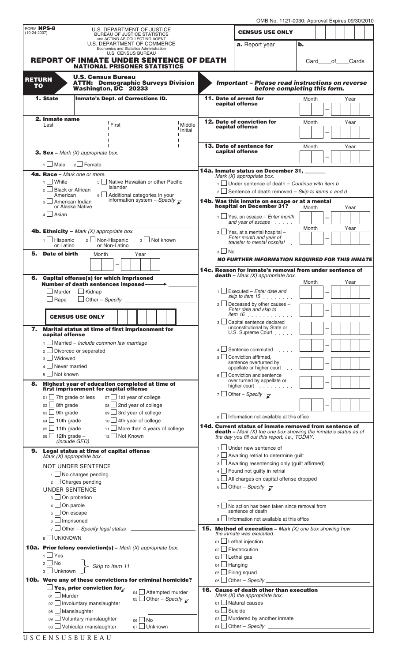|  | OMB No. 1121-0030: Approval Expires 09/30/2010 |  |  |  |
|--|------------------------------------------------|--|--|--|
|--|------------------------------------------------|--|--|--|

| FORM NPS-8                 |                                                                                                                        | OMB NO. TTZT-0030: Approval Expires 09/30/2010                                                                                |  |  |
|----------------------------|------------------------------------------------------------------------------------------------------------------------|-------------------------------------------------------------------------------------------------------------------------------|--|--|
| $(10-24-2007)$             | U.S. DEPARTMENT OF JUSTICE<br><b>BUREAU OF JUSTICE STATISTICS</b>                                                      | <b>CENSUS USE ONLY</b>                                                                                                        |  |  |
|                            | and ACTING AS COLLECTING AGENT<br>U.S. DEPARTMENT OF COMMERCE                                                          | b.<br>a. Report year                                                                                                          |  |  |
|                            | Economics and Statistics Administration<br><b>U.S. CENSUS BUREAU</b>                                                   |                                                                                                                               |  |  |
|                            | <b>REPORT OF INMATE UNDER SENTENCE OF DEATH</b><br><b>NATIONAL PRISONER STATISTICS</b>                                 | Cards<br>Card<br>of                                                                                                           |  |  |
|                            | <b>U.S. Census Bureau</b>                                                                                              |                                                                                                                               |  |  |
| <b>RETURN</b><br><b>TO</b> | <b>ATTN: Demographic Surveys Division</b>                                                                              | <b>Important - Please read instructions on reverse</b>                                                                        |  |  |
| 1. State                   | Washington, DC 20233<br><b>Inmate's Dept. of Corrections ID.</b>                                                       | before completing this form.<br>11. Date of arrest for                                                                        |  |  |
|                            |                                                                                                                        | Month<br>Year<br>capital offense                                                                                              |  |  |
|                            | 2. Inmate name                                                                                                         |                                                                                                                               |  |  |
|                            | Middle<br>Last<br>First<br>Initial                                                                                     | <b>12. Date of conviction for</b><br>Month<br>Year<br>capital offense                                                         |  |  |
|                            |                                                                                                                        |                                                                                                                               |  |  |
|                            |                                                                                                                        | <b>13. Date of sentence for</b><br>Year<br>Month<br>capital offense                                                           |  |  |
|                            | <b>3. Sex -</b> Mark $(X)$ appropriate box.                                                                            |                                                                                                                               |  |  |
|                            | $2$ Female<br><b>Male</b>                                                                                              | 14a. Inmate status on December 31,                                                                                            |  |  |
|                            | 4a. Race - Mark one or more.<br>1 White<br>5   Native Hawaiian or other Pacific                                        | Mark (X) appropriate box.                                                                                                     |  |  |
|                            | Islander<br>$2 \Box$ Black or African                                                                                  | $\frac{1}{1}$ Under sentence of death – Continue with item b<br>$2 \square$ Sentence of death removed – Skip to items c and d |  |  |
|                            | 6   Additional categories in your<br>American<br>information system – Specify $\overline{\chi}$<br>3   American Indian | 14b. Was this inmate on escape or at a mental                                                                                 |  |  |
|                            | or Alaska Native                                                                                                       | hospital on December 31?<br>Month<br>Year                                                                                     |  |  |
|                            | $4 \Box$ Asian                                                                                                         | $1 \Box$ Yes, on escape – Enter month<br>and year of escape                                                                   |  |  |
|                            | <b>4b. Ethnicity -</b> Mark $(X)$ appropriate box.                                                                     | Year<br>Month<br>$2 \Box$ Yes, at a mental hospital -                                                                         |  |  |
|                            | $1$ Hispanic<br>2   Non-Hispanic<br>3   Not known                                                                      | Enter month and year of<br>transfer to mental hospital                                                                        |  |  |
| 5.                         | or Non-Latino<br>or Latino<br>Date of birth<br>Month<br>Year                                                           | $3$ No                                                                                                                        |  |  |
|                            |                                                                                                                        | <b>NO FURTHER INFORMATION REQUIRED FOR THIS INMATE</b>                                                                        |  |  |
|                            |                                                                                                                        | 14c. Reason for inmate's removal from under sentence of                                                                       |  |  |
| 6.                         | <b>Capital offense(s) for which imprisoned</b><br><b>Number of death sentences imposed-</b>                            | <b>death</b> – Mark (X) appropriate box.<br>Year<br>Month                                                                     |  |  |
|                            | Murder<br>$\Box$ Kidnap                                                                                                | $1$ Executed – Enter date and                                                                                                 |  |  |
|                            | $\Box$ Rape<br>$\Box$ Other – Specify _                                                                                | skip to item $15$ , $\ldots$ , $\ldots$<br>$2 \Box$ Deceased by other causes -                                                |  |  |
|                            |                                                                                                                        | Enter date and skip to<br>item 16                                                                                             |  |  |
|                            | <b>CENSUS USE ONLY</b>                                                                                                 | 3   Capital sentence declared                                                                                                 |  |  |
| 7.                         | Marital status at time of first imprisonment for<br>capital offense                                                    | unconstitutional by State or<br>U.S. Supreme Court                                                                            |  |  |
|                            | $1 \Box$ Married – Include common law marriage                                                                         |                                                                                                                               |  |  |
|                            | $2 \Box$ Divorced or separated<br>$3 \Box$ Widowed                                                                     | $4 \Box$ Sentence commuted<br>$5 \Box$ Conviction affirmed,                                                                   |  |  |
| 4                          | $\Box$ Never married                                                                                                   | sentence overturned by<br>appellate or higher court                                                                           |  |  |
| 5 <sup>1</sup>             | $\Box$ Not known                                                                                                       | $6 \Box$ Conviction and sentence                                                                                              |  |  |
| 8.                         | Highest year of education completed at time of<br>first imprisonment for capital offense                               | over turned by appellate or<br>higher court                                                                                   |  |  |
|                            | $01$ 7th grade or less<br>$07$ 1st year of college                                                                     | 7 Other – Specify $\overline{\mathcal{C}}$                                                                                    |  |  |
|                            | $02 \Box$ 8th grade<br>$08 \Box$ 2nd year of college                                                                   |                                                                                                                               |  |  |
|                            | $03 \Box$ 9th grade<br>$09$ $\Box$ 3rd year of college                                                                 | 8   Information not available at this office                                                                                  |  |  |
|                            | $04 \Box 10$ th grade<br>$10 \Box$ 4th year of college<br>$05$ 11th grade<br>$11$ More than 4 years of college         | <b>14d. Current status of inmate removed from sentence of</b>                                                                 |  |  |
|                            | $06$ 12th grade -<br>$12 \Box$ Not Known                                                                               | <b>death</b> – Mark $(X)$ the one box showing the inmate's status as of<br>the day you fill out this report, i.e., TODAY.     |  |  |
| 9.                         | (Include GED)<br>Legal status at time of capital offense                                                               | $1$ Under new sentence of $\qquad$                                                                                            |  |  |
|                            | Mark $(X)$ appropriate box.                                                                                            | $2 \Box$ Awaiting retrial to determine guilt                                                                                  |  |  |
|                            | <b>NOT UNDER SENTENCE</b>                                                                                              | 3 Awaiting resentencing only (guilt affirmed)<br>$4 \Box$ Found not guilty in retrial                                         |  |  |
|                            | $1 \square$ No charges pending<br>$2 \square$ Charges pending                                                          | 5 All charges on capital offense dropped                                                                                      |  |  |
|                            | <b>UNDER SENTENCE</b>                                                                                                  | 6 Other – Specify $\overline{\chi}$                                                                                           |  |  |
|                            | 3 On probation                                                                                                         |                                                                                                                               |  |  |
|                            | $4 \Box$ On parole                                                                                                     | $7 \Box$ No action has been taken since removal from<br>sentence of death                                                     |  |  |
|                            | $5 \Box$ On escape<br>6   Imprisoned                                                                                   | 8   Information not available at this office                                                                                  |  |  |
|                            | $7 \Box$ Other - Specify legal status $\Box$                                                                           | <b>15. Method of execution - Mark (X) one box showing how</b>                                                                 |  |  |
|                            | 8 UNKNOWN                                                                                                              | the inmate was executed.<br>$01$ Lethal injection                                                                             |  |  |
|                            | <b>10a. Prior felony conviction(s)</b> - Mark $(X)$ appropriate box.                                                   | $02$   Electrocution                                                                                                          |  |  |
| 2 <sup>1</sup>             | $1 \cup Y$ es<br>$\Box$ No                                                                                             | 03 Lethal gas                                                                                                                 |  |  |
|                            | Skip to item 11<br>3 Unknown                                                                                           | $04$ Hanging<br>$05$ Firing squad                                                                                             |  |  |
|                            | 10b. Were any of these convictions for criminal homicide?                                                              | 06 $\Box$ Other – Specify $\Box$                                                                                              |  |  |
|                            | $\Box$ Yes, prior conviction for $\varphi$<br>$04$ $\Box$ Attempted murder                                             | 16. Cause of death other than execution                                                                                       |  |  |
|                            | $01$ Murder<br>$\circ$ <sub>5</sub>   Other – <i>Specify</i> $\overline{\chi}$<br>$_{02}$ Involuntary manslaughter     | Mark $(X)$ the appropriate box.<br>$01$ Natural causes                                                                        |  |  |
|                            | 08 Manslaughter                                                                                                        | $_{02}$ Suicide                                                                                                               |  |  |
|                            | 09 Voluntary manslaughter<br>$06$ No                                                                                   | 03 Murdered by another inmate                                                                                                 |  |  |
|                            | 03 Vehicular manslaughter<br>07 Unknown                                                                                |                                                                                                                               |  |  |